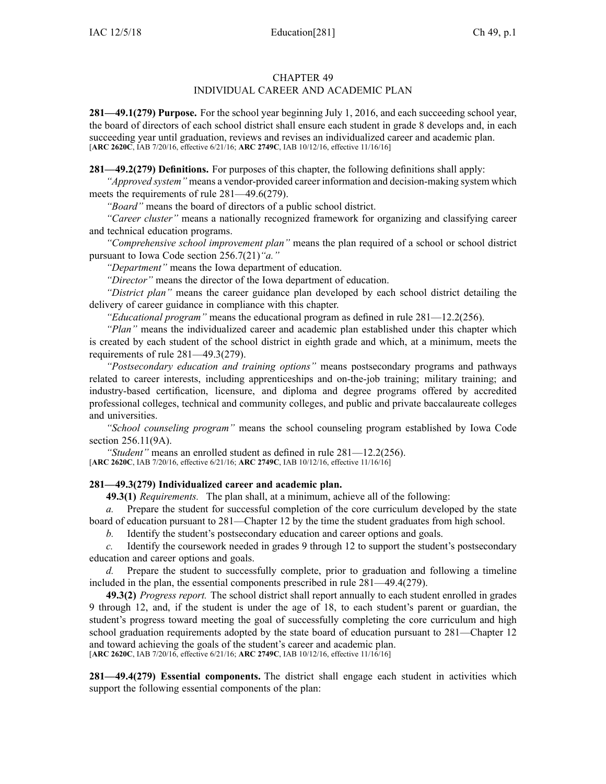## CHAPTER 49 INDIVIDUAL CAREER AND ACADEMIC PLAN

**281—49.1(279) Purpose.** For the school year beginning July 1, 2016, and each succeeding school year, the board of directors of each school district shall ensure each student in grade 8 develops and, in each succeeding year until graduation, reviews and revises an individualized career and academic plan. [**ARC [2620C](https://www.legis.iowa.gov/docs/aco/arc/2620C.pdf)**, IAB 7/20/16, effective 6/21/16; **ARC [2749C](https://www.legis.iowa.gov/docs/aco/arc/2749C.pdf)**, IAB 10/12/16, effective 11/16/16]

**281—49.2(279) Definitions.** For purposes of this chapter, the following definitions shall apply:

*"Approved system"* means <sup>a</sup> vendor-provided career information and decision-making system which meets the requirements of rule [281—49.6](https://www.legis.iowa.gov/docs/iac/rule/281.49.6.pdf)(279).

*"Board"* means the board of directors of <sup>a</sup> public school district.

*"Career cluster"* means <sup>a</sup> nationally recognized framework for organizing and classifying career and technical education programs.

*"Comprehensive school improvement plan"* means the plan required of <sup>a</sup> school or school district pursuan<sup>t</sup> to Iowa Code section [256.7\(21\)](https://www.legis.iowa.gov/docs/ico/section/256.7.pdf)*"a."*

*"Department"* means the Iowa department of education.

*"Director"* means the director of the Iowa department of education.

*"District plan"* means the career guidance plan developed by each school district detailing the delivery of career guidance in compliance with this chapter.

*"Educational program"* means the educational program as defined in rule [281—12.2](https://www.legis.iowa.gov/docs/iac/rule/281.12.2.pdf)(256).

*"Plan"* means the individualized career and academic plan established under this chapter which is created by each student of the school district in eighth grade and which, at <sup>a</sup> minimum, meets the requirements of rule [281—49.3](https://www.legis.iowa.gov/docs/iac/rule/281.49.3.pdf)(279).

*"Postsecondary education and training options"* means postsecondary programs and pathways related to career interests, including apprenticeships and on-the-job training; military training; and industry-based certification, licensure, and diploma and degree programs offered by accredited professional colleges, technical and community colleges, and public and private baccalaureate colleges and universities.

*"School counseling program"* means the school counseling program established by Iowa Code section [256.11\(9A\)](https://www.legis.iowa.gov/docs/ico/section/256.11.pdf).

*"Student"* means an enrolled student as defined in rule [281—12.2](https://www.legis.iowa.gov/docs/iac/rule/281.12.2.pdf)(256).

[**ARC [2620C](https://www.legis.iowa.gov/docs/aco/arc/2620C.pdf)**, IAB 7/20/16, effective 6/21/16; **ARC [2749C](https://www.legis.iowa.gov/docs/aco/arc/2749C.pdf)**, IAB 10/12/16, effective 11/16/16]

## **281—49.3(279) Individualized career and academic plan.**

**49.3(1)** *Requirements.* The plan shall, at <sup>a</sup> minimum, achieve all of the following:

*a.* Prepare the student for successful completion of the core curriculum developed by the state

board of education pursuan<sup>t</sup> to [281—Chapter](https://www.legis.iowa.gov/docs/iac/chapter/281.12.pdf) 12 by the time the student graduates from high school.

*b.* Identify the student's postsecondary education and career options and goals.

*c.* Identify the coursework needed in grades 9 through 12 to suppor<sup>t</sup> the student's postsecondary education and career options and goals.

*d.* Prepare the student to successfully complete, prior to graduation and following <sup>a</sup> timeline included in the plan, the essential components prescribed in rule [281—49.4](https://www.legis.iowa.gov/docs/iac/rule/281.49.4.pdf)(279).

**49.3(2)** *Progress report.* The school district shall repor<sup>t</sup> annually to each student enrolled in grades 9 through 12, and, if the student is under the age of 18, to each student's paren<sup>t</sup> or guardian, the student's progress toward meeting the goal of successfully completing the core curriculum and high school graduation requirements adopted by the state board of education pursuan<sup>t</sup> to [281—Chapter](https://www.legis.iowa.gov/docs/iac/chapter/281.12.pdf) 12 and toward achieving the goals of the student's career and academic plan. [**ARC [2620C](https://www.legis.iowa.gov/docs/aco/arc/2620C.pdf)**, IAB 7/20/16, effective 6/21/16; **ARC [2749C](https://www.legis.iowa.gov/docs/aco/arc/2749C.pdf)**, IAB 10/12/16, effective 11/16/16]

**281—49.4(279) Essential components.** The district shall engage each student in activities which suppor<sup>t</sup> the following essential components of the plan: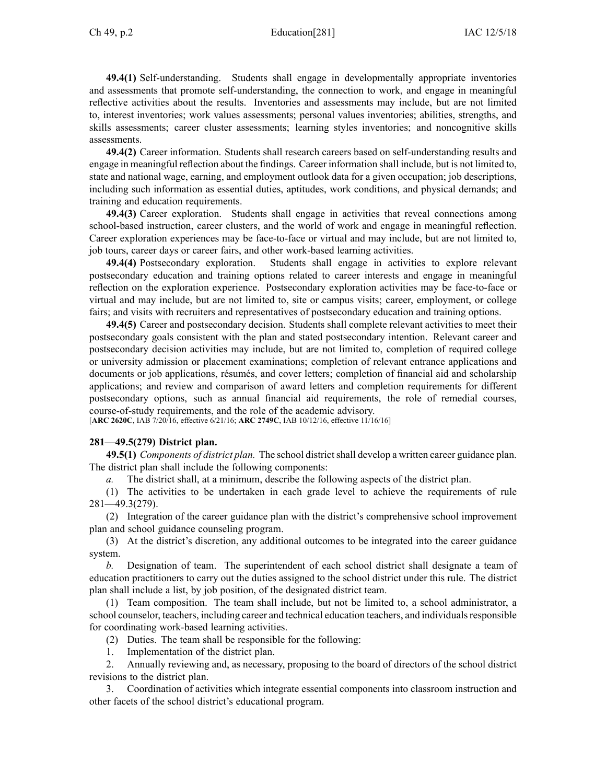## Ch 49, p.2 Education[281] IAC 12/5/18

**49.4(1)** Self-understanding. Students shall engage in developmentally appropriate inventories and assessments that promote self-understanding, the connection to work, and engage in meaningful reflective activities about the results. Inventories and assessments may include, but are not limited to, interest inventories; work values assessments; personal values inventories; abilities, strengths, and skills assessments; career cluster assessments; learning styles inventories; and noncognitive skills assessments.

**49.4(2)** Career information. Students shall research careers based on self-understanding results and engage in meaningful reflection about the findings. Career information shall include, but is not limited to, state and national wage, earning, and employment outlook data for <sup>a</sup> given occupation; job descriptions, including such information as essential duties, aptitudes, work conditions, and physical demands; and training and education requirements.

**49.4(3)** Career exploration. Students shall engage in activities that reveal connections among school-based instruction, career clusters, and the world of work and engage in meaningful reflection. Career exploration experiences may be face-to-face or virtual and may include, but are not limited to, job tours, career days or career fairs, and other work-based learning activities.

**49.4(4)** Postsecondary exploration. Students shall engage in activities to explore relevant postsecondary education and training options related to career interests and engage in meaningful reflection on the exploration experience. Postsecondary exploration activities may be face-to-face or virtual and may include, but are not limited to, site or campus visits; career, employment, or college fairs; and visits with recruiters and representatives of postsecondary education and training options.

**49.4(5)** Career and postsecondary decision. Students shall complete relevant activities to meet their postsecondary goals consistent with the plan and stated postsecondary intention. Relevant career and postsecondary decision activities may include, but are not limited to, completion of required college or university admission or placement examinations; completion of relevant entrance applications and documents or job applications, résumés, and cover letters; completion of financial aid and scholarship applications; and review and comparison of award letters and completion requirements for different postsecondary options, such as annual financial aid requirements, the role of remedial courses, course-of-study requirements, and the role of the academic advisory.

[**ARC [2620C](https://www.legis.iowa.gov/docs/aco/arc/2620C.pdf)**, IAB 7/20/16, effective 6/21/16; **ARC [2749C](https://www.legis.iowa.gov/docs/aco/arc/2749C.pdf)**, IAB 10/12/16, effective 11/16/16]

## **281—49.5(279) District plan.**

**49.5(1)** *Components of district plan.* The school districtshall develop <sup>a</sup> written career guidance plan. The district plan shall include the following components:

*a.* The district shall, at <sup>a</sup> minimum, describe the following aspects of the district plan.

(1) The activities to be undertaken in each grade level to achieve the requirements of rule [281—49.3](https://www.legis.iowa.gov/docs/iac/rule/281.49.3.pdf)(279).

(2) Integration of the career guidance plan with the district's comprehensive school improvement plan and school guidance counseling program.

(3) At the district's discretion, any additional outcomes to be integrated into the career guidance system.

*b.* Designation of team. The superintendent of each school district shall designate <sup>a</sup> team of education practitioners to carry out the duties assigned to the school district under this rule. The district plan shall include <sup>a</sup> list, by job position, of the designated district team.

(1) Team composition. The team shall include, but not be limited to, <sup>a</sup> school administrator, <sup>a</sup> school counselor, teachers, including career and technical education teachers, and individuals responsible for coordinating work-based learning activities.

- (2) Duties. The team shall be responsible for the following:
- 1. Implementation of the district plan.

2. Annually reviewing and, as necessary, proposing to the board of directors of the school district revisions to the district plan.

3. Coordination of activities which integrate essential components into classroom instruction and other facets of the school district's educational program.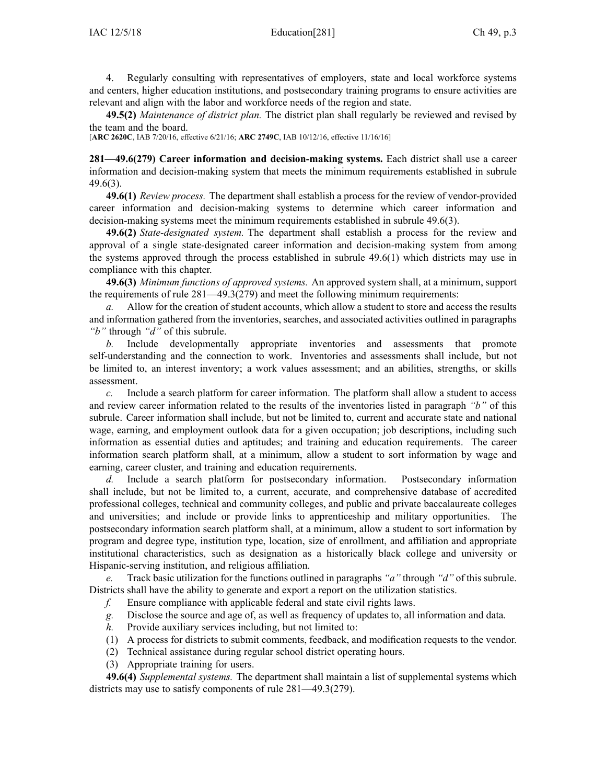4. Regularly consulting with representatives of employers, state and local workforce systems and centers, higher education institutions, and postsecondary training programs to ensure activities are relevant and align with the labor and workforce needs of the region and state.

**49.5(2)** *Maintenance of district plan.* The district plan shall regularly be reviewed and revised by the team and the board.

[**ARC [2620C](https://www.legis.iowa.gov/docs/aco/arc/2620C.pdf)**, IAB 7/20/16, effective 6/21/16; **ARC [2749C](https://www.legis.iowa.gov/docs/aco/arc/2749C.pdf)**, IAB 10/12/16, effective 11/16/16]

**281—49.6(279) Career information and decision-making systems.** Each district shall use <sup>a</sup> career information and decision-making system that meets the minimum requirements established in subrule [49.6\(3\)](https://www.legis.iowa.gov/docs/iac/rule/281.49.6.pdf).

**49.6(1)** *Review process.* The department shall establish <sup>a</sup> process for the review of vendor-provided career information and decision-making systems to determine which career information and decision-making systems meet the minimum requirements established in subrule [49.6\(3\)](https://www.legis.iowa.gov/docs/iac/rule/281.49.6.pdf).

**49.6(2)** *State-designated system.* The department shall establish <sup>a</sup> process for the review and approval of <sup>a</sup> single state-designated career information and decision-making system from among the systems approved through the process established in subrule [49.6\(1\)](https://www.legis.iowa.gov/docs/iac/rule/281.49.6.pdf) which districts may use in compliance with this chapter.

**49.6(3)** *Minimum functions of approved systems.* An approved system shall, at <sup>a</sup> minimum, suppor<sup>t</sup> the requirements of rule [281—49.3](https://www.legis.iowa.gov/docs/iac/rule/281.49.3.pdf)(279) and meet the following minimum requirements:

*a.* Allow for the creation of student accounts, which allow <sup>a</sup> student to store and access the results and information gathered from the inventories, searches, and associated activities outlined in paragraphs *"b"* through *"d"* of this subrule.

*b.* Include developmentally appropriate inventories and assessments that promote self-understanding and the connection to work. Inventories and assessments shall include, but not be limited to, an interest inventory; <sup>a</sup> work values assessment; and an abilities, strengths, or skills assessment.

*c.* Include <sup>a</sup> search platform for career information. The platform shall allow <sup>a</sup> student to access and review career information related to the results of the inventories listed in paragraph *"b"* of this subrule. Career information shall include, but not be limited to, current and accurate state and national wage, earning, and employment outlook data for <sup>a</sup> given occupation; job descriptions, including such information as essential duties and aptitudes; and training and education requirements. The career information search platform shall, at <sup>a</sup> minimum, allow <sup>a</sup> student to sort information by wage and earning, career cluster, and training and education requirements.

*d.* Include <sup>a</sup> search platform for postsecondary information. Postsecondary information shall include, but not be limited to, <sup>a</sup> current, accurate, and comprehensive database of accredited professional colleges, technical and community colleges, and public and private baccalaureate colleges and universities; and include or provide links to apprenticeship and military opportunities. postsecondary information search platform shall, at <sup>a</sup> minimum, allow <sup>a</sup> student to sort information by program and degree type, institution type, location, size of enrollment, and affiliation and appropriate institutional characteristics, such as designation as <sup>a</sup> historically black college and university or Hispanic-serving institution, and religious affiliation.

*e.* Track basic utilization for the functions outlined in paragraphs *"a"* through *"d"* of this subrule. Districts shall have the ability to generate and expor<sup>t</sup> <sup>a</sup> repor<sup>t</sup> on the utilization statistics.

- *f.* Ensure compliance with applicable federal and state civil rights laws.
- *g.* Disclose the source and age of, as well as frequency of updates to, all information and data.
- *h.* Provide auxiliary services including, but not limited to:
- (1) A process for districts to submit comments, feedback, and modification requests to the vendor.
- (2) Technical assistance during regular school district operating hours.
- (3) Appropriate training for users.

**49.6(4)** *Supplemental systems.* The department shall maintain <sup>a</sup> list of supplemental systems which districts may use to satisfy components of rule [281—49.3](https://www.legis.iowa.gov/docs/iac/rule/281.49.3.pdf)(279).